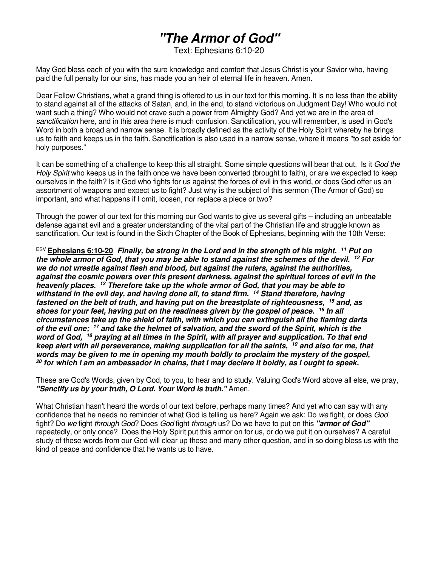# **"The Armor of God"**

Text: Ephesians 6:10-20

May God bless each of you with the sure knowledge and comfort that Jesus Christ is your Savior who, having paid the full penalty for our sins, has made you an heir of eternal life in heaven. Amen.

Dear Fellow Christians, what a grand thing is offered to us in our text for this morning. It is no less than the ability to stand against all of the attacks of Satan, and, in the end, to stand victorious on Judgment Day! Who would not want such a thing? Who would not crave such a power from Almighty God? And yet we are in the area of sanctification here, and in this area there is much confusion. Sanctification, you will remember, is used in God's Word in both a broad and narrow sense. It is broadly defined as the activity of the Holy Spirit whereby he brings us to faith and keeps us in the faith. Sanctification is also used in a narrow sense, where it means "to set aside for holy purposes."

It can be something of a challenge to keep this all straight. Some simple questions will bear that out. Is it God the Holy Spirit who keeps us in the faith once we have been converted (brought to faith), or are we expected to keep ourselves in the faith? Is it God who fights for us against the forces of evil in this world, or does God offer us an assortment of weapons and expect us to fight? Just why is the subject of this sermon (The Armor of God) so important, and what happens if I omit, loosen, nor replace a piece or two?

Through the power of our text for this morning our God wants to give us several gifts – including an unbeatable defense against evil and a greater understanding of the vital part of the Christian life and struggle known as sanctification. Our text is found in the Sixth Chapter of the Book of Ephesians, beginning with the 10th Verse:

ESV **Ephesians 6:10-20 Finally, be strong in the Lord and in the strength of his might. <sup>11</sup> Put on the whole armor of God, that you may be able to stand against the schemes of the devil. <sup>12</sup> For we do not wrestle against flesh and blood, but against the rulers, against the authorities, against the cosmic powers over this present darkness, against the spiritual forces of evil in the heavenly places. <sup>13</sup> Therefore take up the whole armor of God, that you may be able to withstand in the evil day, and having done all, to stand firm. <sup>14</sup> Stand therefore, having fastened on the belt of truth, and having put on the breastplate of righteousness, <sup>15</sup> and, as shoes for your feet, having put on the readiness given by the gospel of peace. <sup>16</sup> In all circumstances take up the shield of faith, with which you can extinguish all the flaming darts of the evil one; <sup>17</sup> and take the helmet of salvation, and the sword of the Spirit, which is the word of God, <sup>18</sup> praying at all times in the Spirit, with all prayer and supplication. To that end keep alert with all perseverance, making supplication for all the saints, <sup>19</sup> and also for me, that words may be given to me in opening my mouth boldly to proclaim the mystery of the gospel, <sup>20</sup> for which I am an ambassador in chains, that I may declare it boldly, as I ought to speak.** 

These are God's Words, given by God, to you, to hear and to study. Valuing God's Word above all else, we pray, **"Sanctify us by your truth, O Lord. Your Word is truth."** Amen.

What Christian hasn't heard the words of our text before, perhaps many times? And yet who can say with any confidence that he needs no reminder of what God is telling us here? Again we ask: Do we fight, or does God fight? Do we fight through God? Does God fight through us? Do we have to put on this **"armor of God"**  repeatedly, or only once? Does the Holy Spirit put this armor on for us, or do we put it on ourselves? A careful study of these words from our God will clear up these and many other question, and in so doing bless us with the kind of peace and confidence that he wants us to have.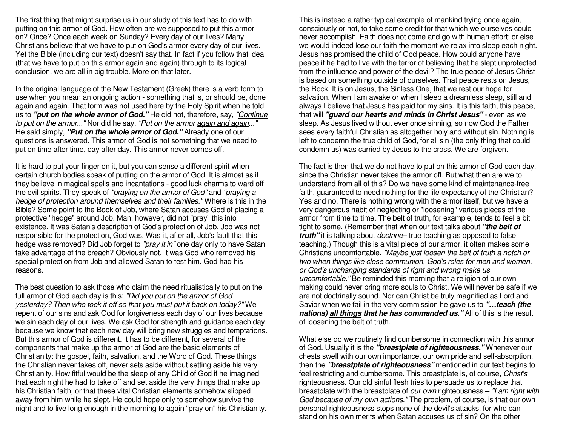The first thing that might surprise us in our study of this text has to do with putting on this armor of God. How often are we supposed to put this armor on? Once? Once each week on Sunday? Every day of our lives? Many Christians believe that we have to put on God's armor every day of our lives. Yet the Bible (including our text) doesn't say that. In fact if you follow that idea (that we have to put on this armor again and again) through to its logical conclusion, we are all in big trouble. More on that later.

In the original language of the New Testament (Greek) there is a verb form to use when you mean an ongoing action - something that is, or should be, done again and again. That form was not used here by the Holy Spirit when he told us to **"put on the whole armor of God."** He did not, therefore, say, "Continue to put on the armor..." Nor did he say, "Put on the armor again and again..." He said simply, **"Put on the whole armor of God."** Already one of our questions is answered. This armor of God is not something that we need to put on time after time, day after day. This armor never comes off.

It is hard to put your finger on it, but you can sense a different spirit when certain church bodies speak of putting on the armor of God. It is almost as if they believe in magical spells and incantations - good luck charms to ward off the evil spirits. They speak of "praying on the armor of God" and "praying a hedge of protection around themselves and their families." Where is this in the Bible? Some point to the Book of Job, where Satan accuses God of placing a protective "hedge" around Job. Man, however, did not "pray" this into existence. It was Satan's description of God's protection of Job. Job was not responsible for the protection, God was. Was it, after all, Job's fault that this hedge was removed? Did Job forget to "pray it in" one day only to have Satan take advantage of the breach? Obviously not. It was God who removed his special protection from Job and allowed Satan to test him. God had his reasons.

The best question to ask those who claim the need ritualistically to put on the full armor of God each day is this: "Did you put on the armor of God yesterday? Then who took it off so that you must put it back on today?" We repent of our sins and ask God for forgiveness each day of our lives because we sin each day of our lives. We ask God for strength and guidance each day because we know that each new day will bring new struggles and temptations. But this armor of God is different. It has to be different, for several of the components that make up the armor of God are the basic elements of Christianity: the gospel, faith, salvation, and the Word of God. These things the Christian never takes off, never sets aside without setting aside his very Christianity. How fitful would be the sleep of any Child of God if he imagined that each night he had to take off and set aside the very things that make up his Christian faith, or that these vital Christian elements somehow slipped away from him while he slept. He could hope only to somehow survive the night and to live long enough in the morning to again "pray on" his Christianity.

This is instead a rather typical example of mankind trying once again, consciously or not, to take some credit for that which we ourselves could never accomplish. Faith does not come and go with human effort; or else we would indeed lose our faith the moment we relax into sleep each night. Jesus has promised the child of God peace. How could anyone have peace if he had to live with the terror of believing that he slept unprotected from the influence and power of the devil? The true peace of Jesus Christ is based on something outside of ourselves. That peace rests on Jesus, the Rock. It is on Jesus, the Sinless One, that we rest our hope for salvation. When I am awake or when I sleep a dreamless sleep, still and always I believe that Jesus has paid for my sins. It is this faith, this peace, that will **"guard our hearts and minds in Christ Jesus"** - even as we sleep. As Jesus lived without ever once sinning, so now God the Father sees every faithful Christian as altogether holy and without sin. Nothing is left to condemn the true child of God, for all sin (the only thing that could condemn us) was carried by Jesus to the cross. We are forgiven.

The fact is then that we do not have to put on this armor of God each day, since the Christian never takes the armor off. But what then are we to understand from all of this? Do we have some kind of maintenance-free faith, guaranteed to need nothing for the life expectancy of the Christian? Yes and no. There is nothing wrong with the armor itself, but we have a very dangerous habit of neglecting or "loosening" various pieces of the armor from time to time. The belt of truth, for example, tends to feel a bit tight to some. (Remember that when our text talks about **"the belt of truth"** it is talking about doctrine– true teaching as opposed to false teaching.) Though this is a vital piece of our armor, it often makes some Christians uncomfortable. "Maybe just loosen the belt of truth a notch or two when things like close communion, God's roles for men and women, or God's unchanging standards of right and wrong make us uncomfortable." Be reminded this morning that a religion of our own making could never bring more souls to Christ. We will never be safe if we are not doctrinally sound. Nor can Christ be truly magnified as Lord and Savior when we fail in the very commission he gave us to **"…teach (the nations) all things that he has commanded us."** All of this is the result of loosening the belt of truth.

What else do we routinely find cumbersome in connection with this armor of God. Usually it is the **"breastplate of righteousness."** Whenever our chests swell with our own importance, our own pride and self-absorption, then the **"breastplate of righteousness"** mentioned in our text begins to feel restricting and cumbersome. This breastplate is, of course, Christ's righteousness. Our old sinful flesh tries to persuade us to replace that breastplate with the breastplate of our own righteousness - "I am right with God because of my own actions." The problem, of course, is that our own personal righteousness stops none of the devil's attacks, for who can stand on his own merits when Satan accuses us of sin? On the other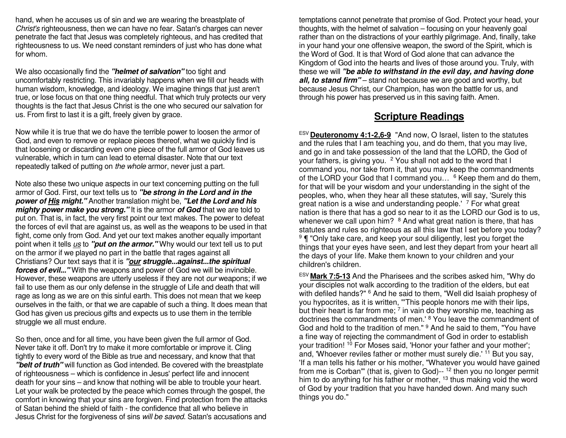hand, when he accuses us of sin and we are wearing the breastplate of Christ's righteousness, then we can have no fear. Satan's charges can never penetrate the fact that Jesus was completely righteous, and has credited that righteousness to us. We need constant reminders of just who has done what for whom.

We also occasionally find the **"helmet of salvation"** too tight and uncomfortably restricting. This invariably happens when we fill our heads with human wisdom, knowledge, and ideology. We imagine things that just aren't true, or lose focus on that one thing needful. That which truly protects our very thoughts is the fact that Jesus Christ is the one who secured our salvation for us. From first to last it is a gift, freely given by grace.

Now while it is true that we do have the terrible power to loosen the armor of God, and even to remove or replace pieces thereof, what we quickly find is that loosening or discarding even one piece of the full armor of God leaves us vulnerable, which in turn can lead to eternal disaster. Note that our text repeatedly talked of putting on the whole armor, never just a part.

Note also these two unique aspects in our text concerning putting on the full armor of God. First, our text tells us to **"be strong in the Lord and in the power of His might."** Another translation might be, **"Let the Lord and his mighty power make you strong."** It is the armor **of God** that we are told to put on. That is, in fact, the very first point our text makes. The power to defeat the forces of evil that are against us, as well as the weapons to be used in that fight, come only from God. And yet our text makes another equally important point when it tells *us* to "**put on the armor.**"Why would our text tell us to put on the armor if we played no part in the battle that rages against all Christians? Our text says that it is **"our struggle...against...the spiritual forces of evil..."** With the weapons and power of God we will be invincible. However, these weapons are utterly useless if they are not our weapons; if we fail to use them as our only defense in the struggle of Life and death that will rage as long as we are on this sinful earth. This does not mean that we keep ourselves in the faith, or that we are capable of such a thing. It does mean that God has given us precious gifts and expects us to use them in the terrible struggle we all must endure.

So then, once and for all time, you have been given the full armor of God. Never take it off. Don't try to make it more comfortable or improve it. Cling tightly to every word of the Bible as true and necessary, and know that that **"belt of truth"** will function as God intended. Be covered with the breastplate of righteousness – which is confidence in Jesus' perfect life and innocent death for your sins – and know that nothing will be able to trouble your heart. Let your walk be protected by the peace which comes through the gospel, the comfort in knowing that your sins are forgiven. Find protection from the attacks of Satan behind the shield of faith - the confidence that all who believe in Jesus Christ for the forgiveness of sins will be saved. Satan's accusations and

temptations cannot penetrate that promise of God. Protect your head, your thoughts, with the helmet of salvation – focusing on your heavenly goal rather than on the distractions of your earthly pilgrimage. And, finally, take in your hand your one offensive weapon, the sword of the Spirit, which is the Word of God. It is that Word of God alone that can advance the Kingdom of God into the hearts and lives of those around you. Truly, with these we will **"be able to withstand in the evil day, and having done all, to stand firm"** – stand not because we are good and worthy, but because Jesus Christ, our Champion, has won the battle for us, and through his power has preserved us in this saving faith. Amen.

## **Scripture Readings**

ESV **Deuteronomy 4:1-2,6-9** "And now, O Israel, listen to the statutes and the rules that I am teaching you, and do them, that you may live, and go in and take possession of the land that the LORD, the God of your fathers, is giving you. <sup>2</sup> You shall not add to the word that I command you, nor take from it, that you may keep the commandments of the LORD your God that I command you...  $6$  Keep them and do them, for that will be your wisdom and your understanding in the sight of the peoples, who, when they hear all these statutes, will say, 'Surely this great nation is a wise and understanding people.' <sup>7</sup> For what great nation is there that has a god so near to it as the LORD our God is to us, whenever we call upon him?  $8$  And what great nation is there, that has statutes and rules so righteous as all this law that I set before you today? <sup>9</sup>  $\P$  "Only take care, and keep your soul diligently, lest you forget the things that your eyes have seen, and lest they depart from your heart all the days of your life. Make them known to your children and your children's children.

ESV **Mark 7:5-13** And the Pharisees and the scribes asked him, "Why do your disciples not walk according to the tradition of the elders, but eat with defiled hands?" <sup>6</sup> And he said to them, "Well did Isaiah prophesy of you hypocrites, as it is written, "'This people honors me with their lips, but their heart is far from me;  $^7$  in vain do they worship me, teaching as doctrines the commandments of men.' <sup>8</sup> You leave the commandment of God and hold to the tradition of men." <sup>9</sup> And he said to them, "You have a fine way of rejecting the commandment of God in order to establish your tradition! <sup>10</sup> For Moses said, 'Honor your father and your mother'; and, 'Whoever reviles father or mother must surely die.' <sup>11</sup> But you say, 'If a man tells his father or his mother, "Whatever you would have gained from me is Corban"' (that is, given to God)-- <sup>12</sup> then you no longer permit him to do anything for his father or mother, <sup>13</sup> thus making void the word of God by your tradition that you have handed down. And many such things you do."